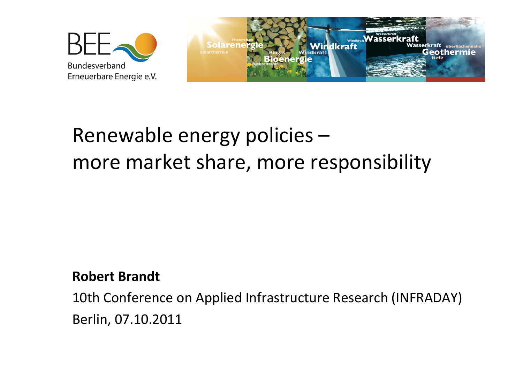



## **Robert Brandt**

10th Conference on Applied Infrastructure Research (INFRADAY)Berlin, 07.10.2011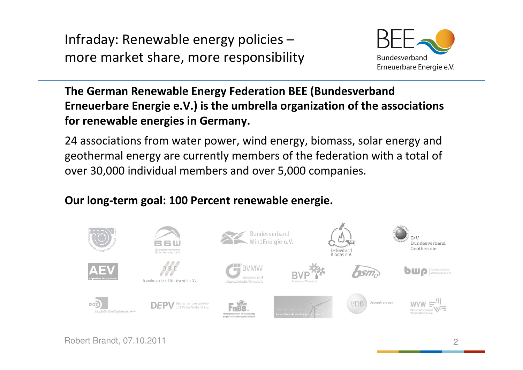

**The German Renewable Energy Federation BEE (Bundesverband Erneuerbare Energie e.V.) is the umbrella organization of the associations for renewable energies in Germany.** 

24 associations from water power, wind energy, biomass, solar energy and geothermal energy are currently members of the federation with a total of over 30,000 individual members and over 5,000 companies.

#### **Our long-term goal: 100 Percent renewable energie.**

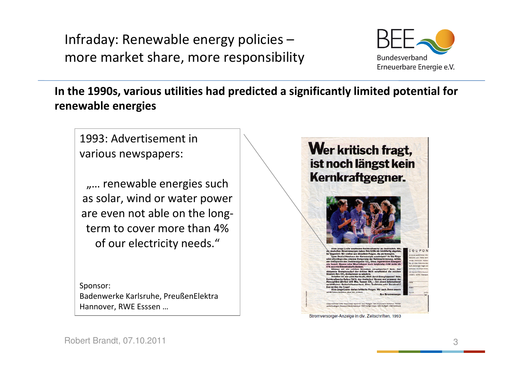

**In the 1990s, various utilities had predicted a significantly limited potential for renewable energies**

1993: Advertisement in various newspapers:

.... renewable energies such as solar, wind or water power are even not able on the longterm to cover more than 4% of our electricity needs."

Sponsor: Badenwerke Karlsruhe, PreußenElektraHannover, RWE Esssen …



Stromversorger-Anzeige in div. Zeitschriften, 1993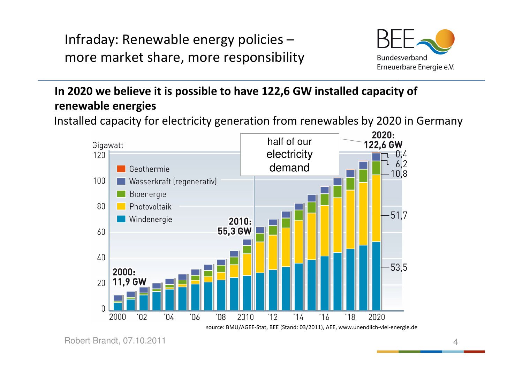

## **In 2020 we believe it is possible to have 122,6 GW installed capacity of renewable energies**

Installed capacity for electricity generation from renewables by 2020 in Germany



Robert Brandt, 07.10.2011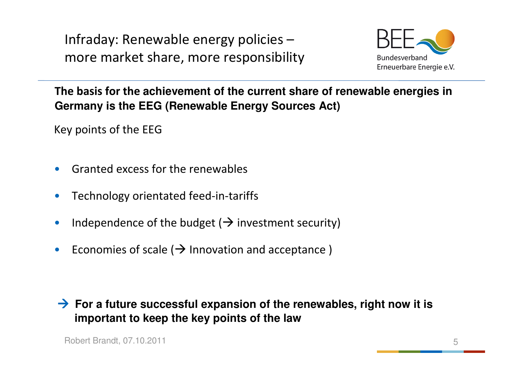

**The basis for the achievement of the current share of renewable energies in Germany is the EEG (Renewable Energy Sources Act)**

Key points of the EEG

- •Granted excess for the renewables
- •Technology orientated feed-in-tariffs
- •**Independence of the budget (** $\rightarrow$  **investment security)**
- $\bullet$ Economies of scale  $(\rightarrow)$  Innovation and acceptance)
- **For a future successful expansion of the renewables, right now it is** important to keep the key points of the law **important to keep the key points of the law**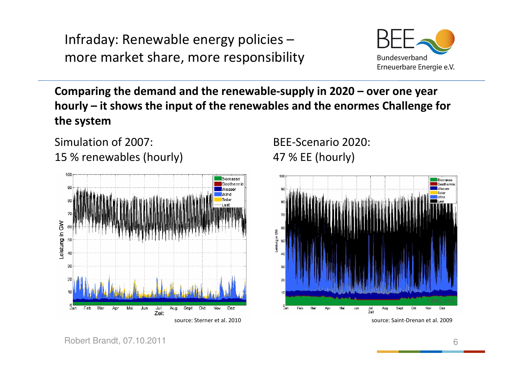

**Comparing the demand and the renewable-supply in 2020 – over one year hourly – it shows the input of the renewables and the enormes Challenge for the system**

Simulation of 2007: 15 % renewables (hourly)



BEE-Scenario 2020: 47 % EE (hourly)



source: Saint-Drenan et al. 2009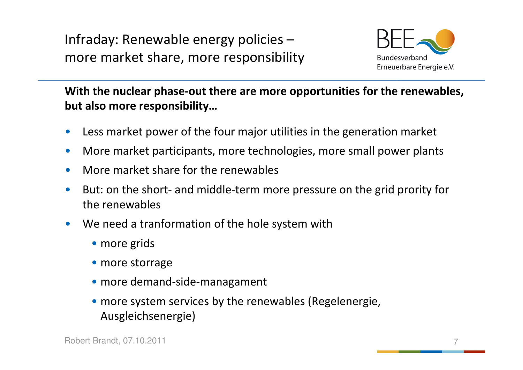

**With the nuclear phase-out there are more opportunities for the renewables, but also more responsibility…**

- $\bullet$ Less market power of the four major utilities in the generation market
- $\bullet$ More market participants, more technologies, more small power plants
- $\bullet$ More market share for the renewables
- •But: on the short- and middle-term more pressure on the grid prority for the renewables
- • We need a tranformation of the hole system with
	- more grids
	- more storrage
	- more demand-side-managament
	- more system services by the renewables (Regelenergie, Ausgleichsenergie)